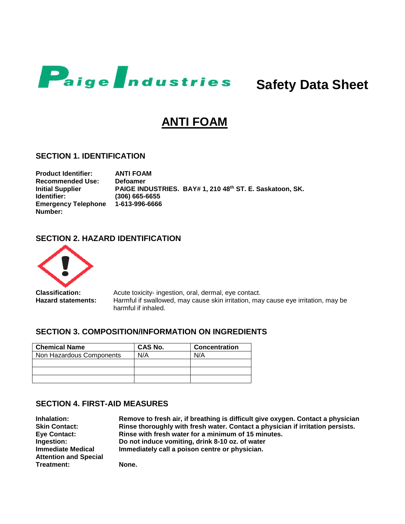

 **Safety Data Sheet**

# **ANTI FOAM**

#### **SECTION 1. IDENTIFICATION**

**Product Identifier: ANTI FOAM Recommended Use: Defoamer Initial Supplier Identifier: PAIGE INDUSTRIES. BAY# 1, 210 48th ST. E. Saskatoon, SK. (306) 665-6655 Emergency Telephone 1-613-996-6666 Number:**

# **SECTION 2. HAZARD IDENTIFICATION**



**Classification:** Acute toxicity- ingestion, oral, dermal, eye contact. **Hazard statements:** Harmful if swallowed, may cause skin irritation, may cause eye irritation, may be harmful if inhaled.

#### **SECTION 3. COMPOSITION/INFORMATION ON INGREDIENTS**

| <b>Chemical Name</b>     | CAS No. | <b>Concentration</b> |
|--------------------------|---------|----------------------|
| Non Hazardous Components | N/A     | N/A                  |
|                          |         |                      |
|                          |         |                      |
|                          |         |                      |

#### **SECTION 4. FIRST-AID MEASURES**

| Inhalation:                                              | Remove to fresh air, if breathing is difficult give oxygen. Contact a physician |
|----------------------------------------------------------|---------------------------------------------------------------------------------|
| <b>Skin Contact:</b>                                     | Rinse thoroughly with fresh water. Contact a physician if irritation persists.  |
| Eye Contact:                                             | Rinse with fresh water for a minimum of 15 minutes.                             |
| <b>Ingestion:</b>                                        | Do not induce vomiting, drink 8-10 oz. of water                                 |
| <b>Immediate Medical</b><br><b>Attention and Special</b> | Immediately call a poison centre or physician.                                  |
| Treatment:                                               | None.                                                                           |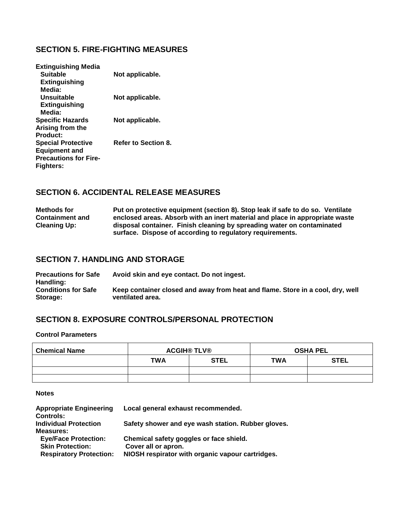## **SECTION 5. FIRE-FIGHTING MEASURES**

| <b>Extinguishing Media</b><br><b>Suitable</b><br>Extinguishing | Not applicable.            |
|----------------------------------------------------------------|----------------------------|
| Media:                                                         |                            |
| Unsuitable<br>Extinguishing                                    | Not applicable.            |
| Media:                                                         |                            |
| <b>Specific Hazards</b>                                        | Not applicable.            |
| Arising from the                                               |                            |
| Product:                                                       |                            |
| <b>Special Protective</b>                                      | <b>Refer to Section 8.</b> |
| <b>Equipment and</b>                                           |                            |
| <b>Precautions for Fire-</b>                                   |                            |
| Fighters:                                                      |                            |

## **SECTION 6. ACCIDENTAL RELEASE MEASURES**

**Methods for Containment and Cleaning Up: Put on protective equipment (section 8). Stop leak if safe to do so. Ventilate enclosed areas. Absorb with an inert material and place in appropriate waste disposal container. Finish cleaning by spreading water on contaminated surface. Dispose of according to regulatory requirements.**

#### **SECTION 7. HANDLING AND STORAGE**

**Precautions for Safe Handling: Avoid skin and eye contact. Do not ingest. Conditions for Safe Storage: Keep container closed and away from heat and flame. Store in a cool, dry, well ventilated area.**

## **SECTION 8. EXPOSURE CONTROLS/PERSONAL PROTECTION**

**Control Parameters**

| <b>Chemical Name</b> | <b>ACGIH® TLV®</b> |             | <b>OSHA PEL</b> |             |
|----------------------|--------------------|-------------|-----------------|-------------|
|                      | <b>TWA</b>         | <b>STEL</b> | <b>TWA</b>      | <b>STEL</b> |
|                      |                    |             |                 |             |
|                      |                    |             |                 |             |

**Notes**

| <b>Appropriate Engineering</b> | Local general exhaust recommended.                 |
|--------------------------------|----------------------------------------------------|
| <b>Controls:</b>               |                                                    |
| <b>Individual Protection</b>   | Safety shower and eye wash station. Rubber gloves. |
| <b>Measures:</b>               |                                                    |
| <b>Eye/Face Protection:</b>    | Chemical safety goggles or face shield.            |
| <b>Skin Protection:</b>        | Cover all or apron.                                |
| <b>Respiratory Protection:</b> | NIOSH respirator with organic vapour cartridges.   |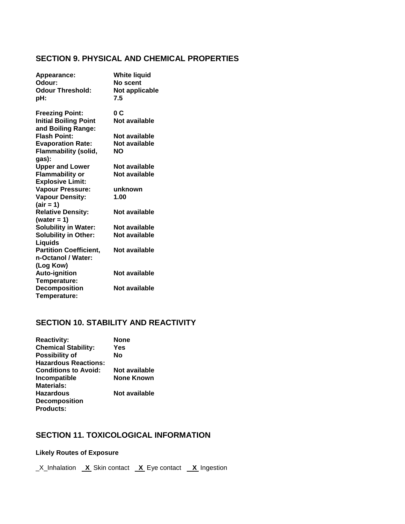#### **SECTION 9. PHYSICAL AND CHEMICAL PROPERTIES**

| Appearance:<br>Odour:<br><b>Odour Threshold:</b><br>pH:                      | <b>White liquid</b><br>No scent<br>Not applicable<br>7.5 |
|------------------------------------------------------------------------------|----------------------------------------------------------|
| <b>Freezing Point:</b><br><b>Initial Boiling Point</b><br>and Boiling Range: | 0 C<br>Not available                                     |
| <b>Flash Point:</b>                                                          | Not available                                            |
| <b>Evaporation Rate:</b>                                                     | Not available                                            |
| <b>Flammability (solid,</b><br>gas):                                         | NΟ                                                       |
| <b>Upper and Lower</b>                                                       | Not available                                            |
| <b>Flammability or</b>                                                       | Not available                                            |
| <b>Explosive Limit:</b>                                                      |                                                          |
| <b>Vapour Pressure:</b>                                                      | unknown                                                  |
| <b>Vapour Density:</b>                                                       | 1.00                                                     |
| $(air = 1)$                                                                  |                                                          |
| <b>Relative Density:</b>                                                     | Not available                                            |
| (water = 1)                                                                  |                                                          |
| <b>Solubility in Water:</b>                                                  | Not available                                            |
| <b>Solubility in Other:</b>                                                  | Not available                                            |
| Liquids                                                                      |                                                          |
| <b>Partition Coefficient,</b>                                                | Not available                                            |
| n-Octanol / Water:                                                           |                                                          |
| (Log Kow)                                                                    |                                                          |
| <b>Auto-ignition</b>                                                         | Not available                                            |
| Temperature:                                                                 |                                                          |
| <b>Decomposition</b>                                                         | Not available                                            |
| Temperature:                                                                 |                                                          |

# **SECTION 10. STABILITY AND REACTIVITY**

| <b>Reactivity:</b>          | None          |
|-----------------------------|---------------|
| <b>Chemical Stability:</b>  | Yes           |
| <b>Possibility of</b>       | Nο            |
| <b>Hazardous Reactions:</b> |               |
| <b>Conditions to Avoid:</b> | Not available |
| Incompatible                | None Known    |
| <b>Materials:</b>           |               |
| <b>Hazardous</b>            | Not available |
| <b>Decomposition</b>        |               |
| <b>Products:</b>            |               |

# **SECTION 11. TOXICOLOGICAL INFORMATION**

## **Likely Routes of Exposure**

\_X\_Inhalation **X** Skin contact **X** Eye contact **X** Ingestion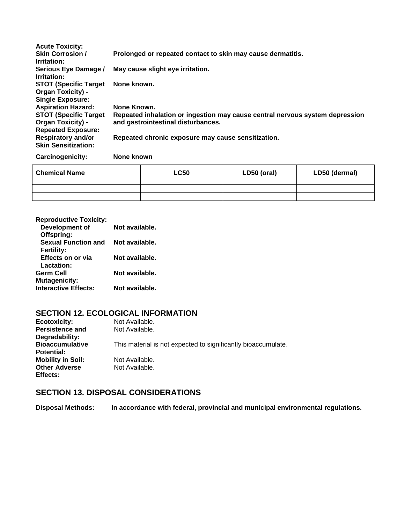| <b>Acute Toxicity:</b><br><b>Skin Corrosion /</b><br>Irritation:                       | Prolonged or repeated contact to skin may cause dermatitis.                                                        |                                  |             |               |  |
|----------------------------------------------------------------------------------------|--------------------------------------------------------------------------------------------------------------------|----------------------------------|-------------|---------------|--|
| Serious Eye Damage /<br>Irritation:                                                    |                                                                                                                    | May cause slight eye irritation. |             |               |  |
| <b>STOT (Specific Target)</b><br><b>Organ Toxicity) -</b><br><b>Single Exposure:</b>   | None known.                                                                                                        |                                  |             |               |  |
| <b>Aspiration Hazard:</b>                                                              | None Known.                                                                                                        |                                  |             |               |  |
| <b>STOT (Specific Target)</b><br><b>Organ Toxicity) -</b><br><b>Repeated Exposure:</b> | Repeated inhalation or ingestion may cause central nervous system depression<br>and gastrointestinal disturbances. |                                  |             |               |  |
| <b>Respiratory and/or</b><br><b>Skin Sensitization:</b>                                | Repeated chronic exposure may cause sensitization.                                                                 |                                  |             |               |  |
| Carcinogenicity:                                                                       | None known                                                                                                         |                                  |             |               |  |
| <b>Chemical Name</b>                                                                   |                                                                                                                    | <b>LC50</b>                      | LD50 (oral) | LD50 (dermal) |  |
|                                                                                        |                                                                                                                    |                                  |             |               |  |
|                                                                                        |                                                                                                                    |                                  |             |               |  |

| <b>Reproductive Toxicity:</b> |                |
|-------------------------------|----------------|
| Development of                | Not available. |
| Offspring:                    |                |
| <b>Sexual Function and</b>    | Not available. |
| <b>Fertility:</b>             |                |
| Effects on or via             | Not available. |
| Lactation:                    |                |
| Germ Cell                     | Not available. |
| <b>Mutagenicity:</b>          |                |
| <b>Interactive Effects:</b>   | Not available. |

# **SECTION 12. ECOLOGICAL INFORMATION**

| <b>Ecotoxicity:</b>              | Not Available.                                                |
|----------------------------------|---------------------------------------------------------------|
| <b>Persistence and</b>           | Not Available.                                                |
| Degradability:                   |                                                               |
| <b>Bioaccumulative</b>           | This material is not expected to significantly bioaccumulate. |
| <b>Potential:</b>                |                                                               |
| <b>Mobility in Soil:</b>         | Not Available.                                                |
| <b>Other Adverse</b><br>Effects: | Not Available.                                                |
|                                  |                                                               |

# **SECTION 13. DISPOSAL CONSIDERATIONS**

**Disposal Methods: In accordance with federal, provincial and municipal environmental regulations.**